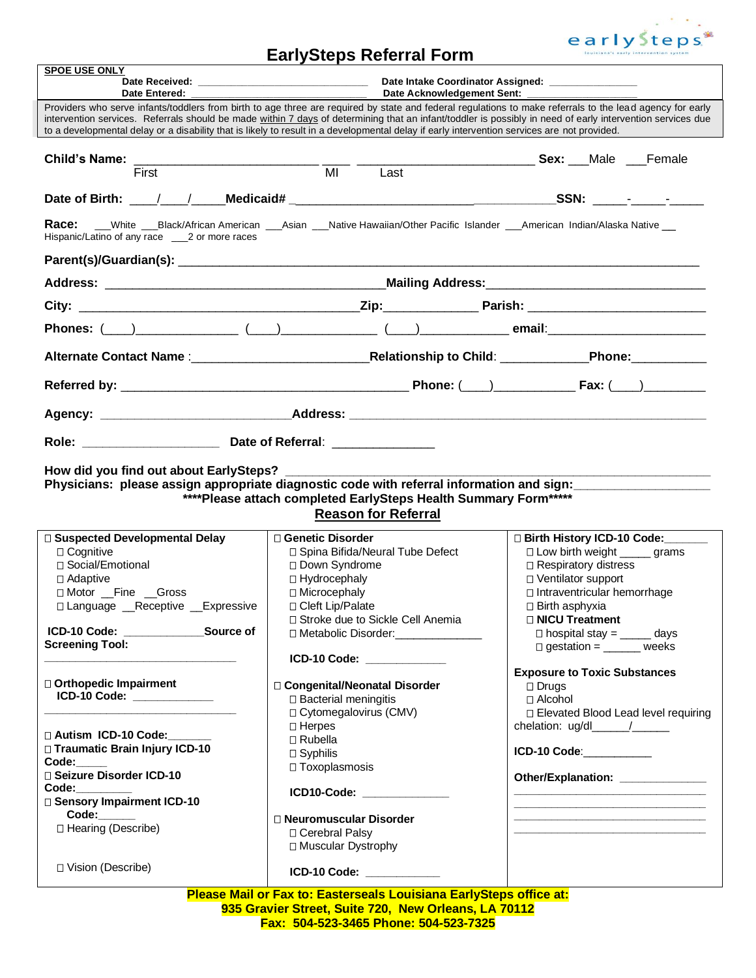

## **EarlySteps Referral Form**

| <b>SPOE USE ONLY</b>                                                                                                                                                                                                                                                                                                                                                                                                                                                      |                                                                                                                                                                                                                                                                                                                                                                                                                                                                                                         |                                                                                                                                                                                                                                                                                                                                                                                                                                                                                                                                                                                                                            |  |  |
|---------------------------------------------------------------------------------------------------------------------------------------------------------------------------------------------------------------------------------------------------------------------------------------------------------------------------------------------------------------------------------------------------------------------------------------------------------------------------|---------------------------------------------------------------------------------------------------------------------------------------------------------------------------------------------------------------------------------------------------------------------------------------------------------------------------------------------------------------------------------------------------------------------------------------------------------------------------------------------------------|----------------------------------------------------------------------------------------------------------------------------------------------------------------------------------------------------------------------------------------------------------------------------------------------------------------------------------------------------------------------------------------------------------------------------------------------------------------------------------------------------------------------------------------------------------------------------------------------------------------------------|--|--|
|                                                                                                                                                                                                                                                                                                                                                                                                                                                                           | Date Intake Coordinator Assigned: ______________<br>Date Acknowledgement Sent:                                                                                                                                                                                                                                                                                                                                                                                                                          |                                                                                                                                                                                                                                                                                                                                                                                                                                                                                                                                                                                                                            |  |  |
| Date Entered:                                                                                                                                                                                                                                                                                                                                                                                                                                                             | Providers who serve infants/toddlers from birth to age three are required by state and federal regulations to make referrals to the lead agency for early<br>intervention services. Referrals should be made within 7 days of determining that an infant/toddler is possibly in need of early intervention services due<br>to a developmental delay or a disability that is likely to result in a developmental delay if early intervention services are not provided.                                  |                                                                                                                                                                                                                                                                                                                                                                                                                                                                                                                                                                                                                            |  |  |
| Child's Name: $\frac{1}{2}$ .                                                                                                                                                                                                                                                                                                                                                                                                                                             | Last                                                                                                                                                                                                                                                                                                                                                                                                                                                                                                    | <b>Sex:</b> Male Female                                                                                                                                                                                                                                                                                                                                                                                                                                                                                                                                                                                                    |  |  |
|                                                                                                                                                                                                                                                                                                                                                                                                                                                                           |                                                                                                                                                                                                                                                                                                                                                                                                                                                                                                         |                                                                                                                                                                                                                                                                                                                                                                                                                                                                                                                                                                                                                            |  |  |
| Race:<br>Hispanic/Latino of any race ____ 2 or more races                                                                                                                                                                                                                                                                                                                                                                                                                 | __White ___Black/African American ___Asian ___Native Hawaiian/Other Pacific Islander ___American Indian/Alaska Native __                                                                                                                                                                                                                                                                                                                                                                                |                                                                                                                                                                                                                                                                                                                                                                                                                                                                                                                                                                                                                            |  |  |
|                                                                                                                                                                                                                                                                                                                                                                                                                                                                           |                                                                                                                                                                                                                                                                                                                                                                                                                                                                                                         |                                                                                                                                                                                                                                                                                                                                                                                                                                                                                                                                                                                                                            |  |  |
|                                                                                                                                                                                                                                                                                                                                                                                                                                                                           |                                                                                                                                                                                                                                                                                                                                                                                                                                                                                                         |                                                                                                                                                                                                                                                                                                                                                                                                                                                                                                                                                                                                                            |  |  |
|                                                                                                                                                                                                                                                                                                                                                                                                                                                                           |                                                                                                                                                                                                                                                                                                                                                                                                                                                                                                         |                                                                                                                                                                                                                                                                                                                                                                                                                                                                                                                                                                                                                            |  |  |
|                                                                                                                                                                                                                                                                                                                                                                                                                                                                           | Phones: $(\_\_)$ ( ) $(\_\_)$ ( ) $(\_\_)$ ( ) $(\_\_)$ email:                                                                                                                                                                                                                                                                                                                                                                                                                                          |                                                                                                                                                                                                                                                                                                                                                                                                                                                                                                                                                                                                                            |  |  |
|                                                                                                                                                                                                                                                                                                                                                                                                                                                                           |                                                                                                                                                                                                                                                                                                                                                                                                                                                                                                         |                                                                                                                                                                                                                                                                                                                                                                                                                                                                                                                                                                                                                            |  |  |
|                                                                                                                                                                                                                                                                                                                                                                                                                                                                           |                                                                                                                                                                                                                                                                                                                                                                                                                                                                                                         |                                                                                                                                                                                                                                                                                                                                                                                                                                                                                                                                                                                                                            |  |  |
|                                                                                                                                                                                                                                                                                                                                                                                                                                                                           |                                                                                                                                                                                                                                                                                                                                                                                                                                                                                                         |                                                                                                                                                                                                                                                                                                                                                                                                                                                                                                                                                                                                                            |  |  |
|                                                                                                                                                                                                                                                                                                                                                                                                                                                                           |                                                                                                                                                                                                                                                                                                                                                                                                                                                                                                         |                                                                                                                                                                                                                                                                                                                                                                                                                                                                                                                                                                                                                            |  |  |
| How did you find out about EarlySteps?<br>Physicians: please assign appropriate diagnostic code with referral information and sign:<br>*****Please attach completed EarlySteps Health Summary Form *****<br><b>Reason for Referral</b>                                                                                                                                                                                                                                    |                                                                                                                                                                                                                                                                                                                                                                                                                                                                                                         |                                                                                                                                                                                                                                                                                                                                                                                                                                                                                                                                                                                                                            |  |  |
| □ Suspected Developmental Delay<br>$\Box$ Cognitive<br>□ Social/Emotional<br>$\Box$ Adaptive<br>□ Motor Fine Gross<br>□ Language Receptive Expressive<br>ICD-10 Code: ____________<br>Source of<br><b>Screening Tool:</b><br>□ Orthopedic Impairment<br>ICD-10 Code: ____________<br>□ Autism ICD-10 Code:<br>□ Traumatic Brain Injury ICD-10<br>Code:<br>□ Seizure Disorder ICD-10<br>Code: <b>Code:</b><br>□ Sensory Impairment ICD-10<br>Code:<br>□ Hearing (Describe) | □ Genetic Disorder<br>□ Spina Bifida/Neural Tube Defect<br>□ Down Syndrome<br>□ Hydrocephaly<br>□ Microcephaly<br>□ Cleft Lip/Palate<br>□ Stroke due to Sickle Cell Anemia<br>□ Metabolic Disorder: ______________<br>ICD-10 Code: _____________<br>□ Congenital/Neonatal Disorder<br>□ Bacterial meningitis<br>□ Cytomegalovirus (CMV)<br>□ Herpes<br>□ Rubella<br>□ Syphilis<br>□ Toxoplasmosis<br>ICD10-Code: ______________<br>□ Neuromuscular Disorder<br>□ Cerebral Palsy<br>□ Muscular Dystrophy | □ Birth History ICD-10 Code: ______<br>□ Low birth weight ______ grams<br>□ Respiratory distress<br>□ Ventilator support<br>□ Intraventricular hemorrhage<br>$\Box$ Birth asphyxia<br>□ NICU Treatment<br>$\square$ hospital stay = ______ days<br>$\Box$ gestation = ______ weeks<br><b>Exposure to Toxic Substances</b><br>$\Box$ Drugs<br>□ Alcohol<br>□ Elevated Blood Lead level requiring<br>chelation: ug/dl______/______<br>ICD-10 Code:___________<br>Other/Explanation: _______________<br><u> 1980 - Johann John Stone, mars eta bainar eta baina eta erromana eta baina eta erromana eta baina eta baina e</u> |  |  |
| □ Vision (Describe)                                                                                                                                                                                                                                                                                                                                                                                                                                                       | ICD-10 Code: National Action of the Code:                                                                                                                                                                                                                                                                                                                                                                                                                                                               |                                                                                                                                                                                                                                                                                                                                                                                                                                                                                                                                                                                                                            |  |  |
|                                                                                                                                                                                                                                                                                                                                                                                                                                                                           | Please Mail or Fax to: Easterseals Louisiana EarlySteps office at:<br>935 Gravier Street, Suite 720, New Orleans, LA 70112                                                                                                                                                                                                                                                                                                                                                                              |                                                                                                                                                                                                                                                                                                                                                                                                                                                                                                                                                                                                                            |  |  |

**Fax: 504-523-3465 Phone: 504-523-7325**